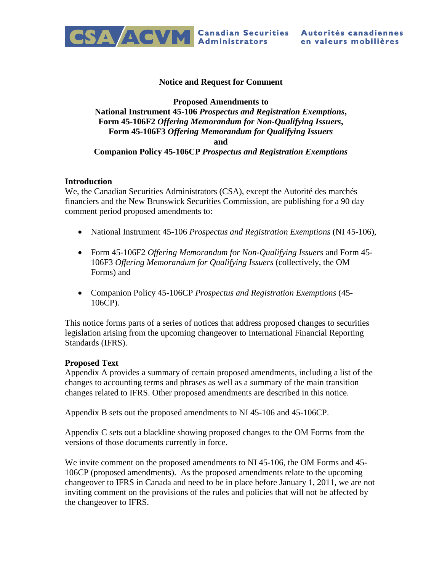

#### **Notice and Request for Comment**

#### **Proposed Amendments to National Instrument 45-106** *Prospectus and Registration Exemptions***, Form 45-106F2** *Offering Memorandum for Non-Qualifying Issuers***, Form 45-106F3** *Offering Memorandum for Qualifying Issuers* **and Companion Policy 45-106CP** *Prospectus and Registration Exemptions*

#### **Introduction**

We, the Canadian Securities Administrators (CSA), except the Autorité des marchés financiers and the New Brunswick Securities Commission, are publishing for a 90 day comment period proposed amendments to:

- National Instrument 45-106 *Prospectus and Registration Exemptions* (NI 45-106),
- Form 45-106F2 *Offering Memorandum for Non-Qualifying Issuers* and Form 45- 106F3 *Offering Memorandum for Qualifying Issuers* (collectively, the OM Forms) and
- Companion Policy 45-106CP *Prospectus and Registration Exemptions* (45- 106CP).

This notice forms parts of a series of notices that address proposed changes to securities legislation arising from the upcoming changeover to International Financial Reporting Standards (IFRS).

#### **Proposed Text**

Appendix A provides a summary of certain proposed amendments, including a list of the changes to accounting terms and phrases as well as a summary of the main transition changes related to IFRS. Other proposed amendments are described in this notice.

Appendix B sets out the proposed amendments to NI 45-106 and 45-106CP.

Appendix C sets out a blackline showing proposed changes to the OM Forms from the versions of those documents currently in force.

We invite comment on the proposed amendments to NI 45-106, the OM Forms and 45- 106CP (proposed amendments). As the proposed amendments relate to the upcoming changeover to IFRS in Canada and need to be in place before January 1, 2011, we are not inviting comment on the provisions of the rules and policies that will not be affected by the changeover to IFRS.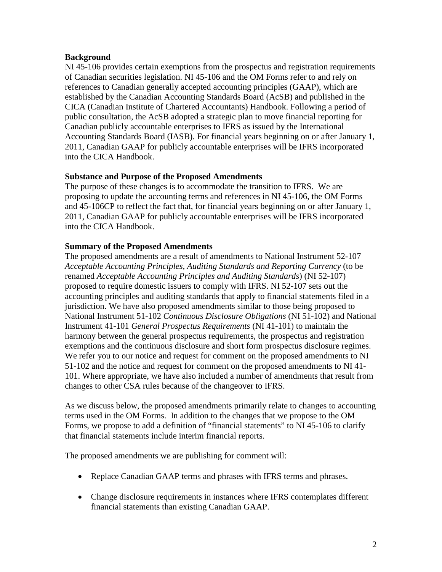#### **Background**

NI 45-106 provides certain exemptions from the prospectus and registration requirements of Canadian securities legislation. NI 45-106 and the OM Forms refer to and rely on references to Canadian generally accepted accounting principles (GAAP), which are established by the Canadian Accounting Standards Board (AcSB) and published in the CICA (Canadian Institute of Chartered Accountants) Handbook. Following a period of public consultation, the AcSB adopted a strategic plan to move financial reporting for Canadian publicly accountable enterprises to IFRS as issued by the International Accounting Standards Board (IASB). For financial years beginning on or after January 1, 2011, Canadian GAAP for publicly accountable enterprises will be IFRS incorporated into the CICA Handbook.

#### **Substance and Purpose of the Proposed Amendments**

The purpose of these changes is to accommodate the transition to IFRS. We are proposing to update the accounting terms and references in NI 45-106, the OM Forms and 45-106CP to reflect the fact that, for financial years beginning on or after January 1, 2011, Canadian GAAP for publicly accountable enterprises will be IFRS incorporated into the CICA Handbook.

#### **Summary of the Proposed Amendments**

The proposed amendments are a result of amendments to National Instrument 52-107 *Acceptable Accounting Principles, Auditing Standards and Reporting Currency* (to be renamed *Acceptable Accounting Principles and Auditing Standards*) (NI 52-107) proposed to require domestic issuers to comply with IFRS. NI 52-107 sets out the accounting principles and auditing standards that apply to financial statements filed in a jurisdiction. We have also proposed amendments similar to those being proposed to National Instrument 51-102 *Continuous Disclosure Obligations* (NI 51-102) and National Instrument 41-101 *General Prospectus Requirements* (NI 41-101) to maintain the harmony between the general prospectus requirements, the prospectus and registration exemptions and the continuous disclosure and short form prospectus disclosure regimes. We refer you to our notice and request for comment on the proposed amendments to NI 51-102 and the notice and request for comment on the proposed amendments to NI 41- 101. Where appropriate, we have also included a number of amendments that result from changes to other CSA rules because of the changeover to IFRS.

As we discuss below, the proposed amendments primarily relate to changes to accounting terms used in the OM Forms. In addition to the changes that we propose to the OM Forms, we propose to add a definition of "financial statements" to NI 45-106 to clarify that financial statements include interim financial reports.

The proposed amendments we are publishing for comment will:

- Replace Canadian GAAP terms and phrases with IFRS terms and phrases.
- Change disclosure requirements in instances where IFRS contemplates different financial statements than existing Canadian GAAP.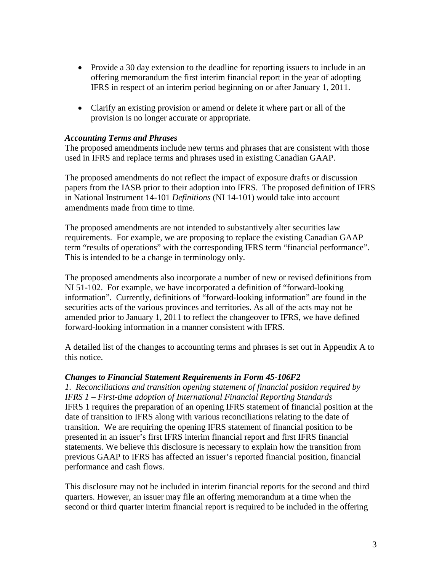- Provide a 30 day extension to the deadline for reporting issuers to include in an offering memorandum the first interim financial report in the year of adopting IFRS in respect of an interim period beginning on or after January 1, 2011.
- Clarify an existing provision or amend or delete it where part or all of the provision is no longer accurate or appropriate.

#### *Accounting Terms and Phrases*

The proposed amendments include new terms and phrases that are consistent with those used in IFRS and replace terms and phrases used in existing Canadian GAAP.

The proposed amendments do not reflect the impact of exposure drafts or discussion papers from the IASB prior to their adoption into IFRS. The proposed definition of IFRS in National Instrument 14-101 *Definitions* (NI 14-101) would take into account amendments made from time to time.

The proposed amendments are not intended to substantively alter securities law requirements. For example, we are proposing to replace the existing Canadian GAAP term "results of operations" with the corresponding IFRS term "financial performance". This is intended to be a change in terminology only.

The proposed amendments also incorporate a number of new or revised definitions from NI 51-102. For example, we have incorporated a definition of "forward-looking information". Currently, definitions of "forward-looking information" are found in the securities acts of the various provinces and territories. As all of the acts may not be amended prior to January 1, 2011 to reflect the changeover to IFRS, we have defined forward-looking information in a manner consistent with IFRS.

A detailed list of the changes to accounting terms and phrases is set out in Appendix A to this notice.

#### *Changes to Financial Statement Requirements in Form 45-106F2*

*1. Reconciliations and transition opening statement of financial position required by IFRS 1 – First-time adoption of International Financial Reporting Standards* IFRS 1 requires the preparation of an opening IFRS statement of financial position at the date of transition to IFRS along with various reconciliations relating to the date of transition. We are requiring the opening IFRS statement of financial position to be presented in an issuer's first IFRS interim financial report and first IFRS financial statements. We believe this disclosure is necessary to explain how the transition from previous GAAP to IFRS has affected an issuer's reported financial position, financial performance and cash flows.

This disclosure may not be included in interim financial reports for the second and third quarters. However, an issuer may file an offering memorandum at a time when the second or third quarter interim financial report is required to be included in the offering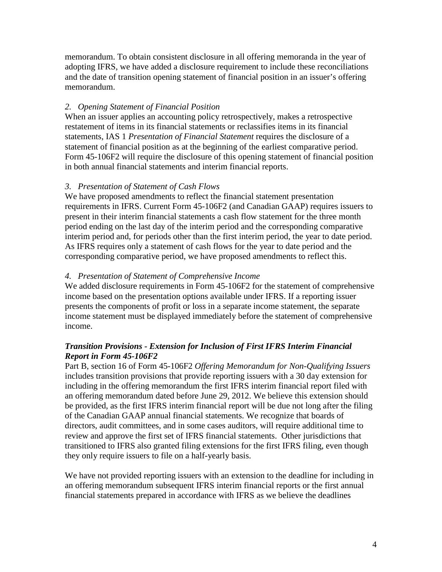memorandum. To obtain consistent disclosure in all offering memoranda in the year of adopting IFRS, we have added a disclosure requirement to include these reconciliations and the date of transition opening statement of financial position in an issuer's offering memorandum.

## *2. Opening Statement of Financial Position*

When an issuer applies an accounting policy retrospectively, makes a retrospective restatement of items in its financial statements or reclassifies items in its financial statements, IAS 1 *Presentation of Financial Statement* requires the disclosure of a statement of financial position as at the beginning of the earliest comparative period. Form 45-106F2 will require the disclosure of this opening statement of financial position in both annual financial statements and interim financial reports.

## *3. Presentation of Statement of Cash Flows*

We have proposed amendments to reflect the financial statement presentation requirements in IFRS. Current Form 45-106F2 (and Canadian GAAP) requires issuers to present in their interim financial statements a cash flow statement for the three month period ending on the last day of the interim period and the corresponding comparative interim period and, for periods other than the first interim period, the year to date period. As IFRS requires only a statement of cash flows for the year to date period and the corresponding comparative period, we have proposed amendments to reflect this.

## *4. Presentation of Statement of Comprehensive Income*

We added disclosure requirements in Form 45-106F2 for the statement of comprehensive income based on the presentation options available under IFRS. If a reporting issuer presents the components of profit or loss in a separate income statement, the separate income statement must be displayed immediately before the statement of comprehensive income.

## *Transition Provisions - Extension for Inclusion of First IFRS Interim Financial Report in Form 45-106F2*

Part B, section 16 of Form 45-106F2 *Offering Memorandum for Non-Qualifying Issuers* includes transition provisions that provide reporting issuers with a 30 day extension for including in the offering memorandum the first IFRS interim financial report filed with an offering memorandum dated before June 29, 2012. We believe this extension should be provided, as the first IFRS interim financial report will be due not long after the filing of the Canadian GAAP annual financial statements. We recognize that boards of directors, audit committees, and in some cases auditors, will require additional time to review and approve the first set of IFRS financial statements. Other jurisdictions that transitioned to IFRS also granted filing extensions for the first IFRS filing, even though they only require issuers to file on a half-yearly basis.

We have not provided reporting issuers with an extension to the deadline for including in an offering memorandum subsequent IFRS interim financial reports or the first annual financial statements prepared in accordance with IFRS as we believe the deadlines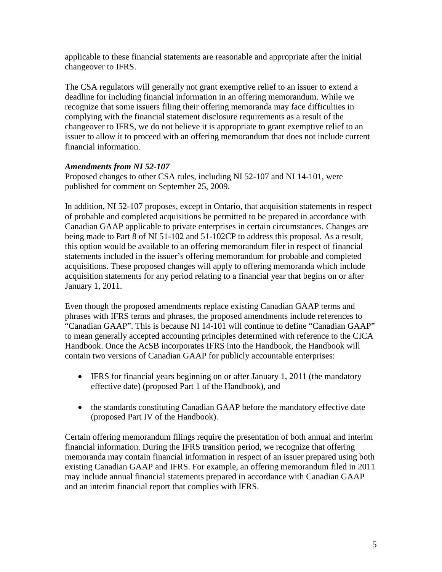applicable to these financial statements are reasonable and appropriate after the initial changeover to IFRS.

The CSA regulators will generally not grant exemptive relief to an issuer to extend a deadline for including financial information in an offering memorandum. While we recognize that some issuers filing their offering memoranda may face difficulties in complying with the financial statement disclosure requirements as a result of the changeover to IFRS, we do not believe it is appropriate to grant exemptive relief to an issuer to allow it to proceed with an offering memorandum that does not include current financial information.

## *Amendments from NI 52-107*

Proposed changes to other CSA rules, including NI 52-107 and NI 14-101, were published for comment on September 25, 2009.

In addition, NI 52-107 proposes, except in Ontario, that acquisition statements in respect of probable and completed acquisitions be permitted to be prepared in accordance with Canadian GAAP applicable to private enterprises in certain circumstances. Changes are being made to Part 8 of NI 51-102 and 51-102CP to address this proposal. As a result, this option would be available to an offering memorandum filer in respect of financial statements included in the issuer's offering memorandum for probable and completed acquisitions. These proposed changes will apply to offering memoranda which include acquisition statements for any period relating to a financial year that begins on or after January 1, 2011.

Even though the proposed amendments replace existing Canadian GAAP terms and phrases with IFRS terms and phrases, the proposed amendments include references to "Canadian GAAP". This is because NI 14-101 will continue to define "Canadian GAAP" to mean generally accepted accounting principles determined with reference to the CICA Handbook. Once the AcSB incorporates IFRS into the Handbook, the Handbook will contain two versions of Canadian GAAP for publicly accountable enterprises:

- IFRS for financial years beginning on or after January 1, 2011 (the mandatory effective date) (proposed Part 1 of the Handbook), and
- the standards constituting Canadian GAAP before the mandatory effective date (proposed Part IV of the Handbook).

Certain offering memorandum filings require the presentation of both annual and interim financial information. During the IFRS transition period, we recognize that offering memoranda may contain financial information in respect of an issuer prepared using both existing Canadian GAAP and IFRS. For example, an offering memorandum filed in 2011 may include annual financial statements prepared in accordance with Canadian GAAP and an interim financial report that complies with IFRS.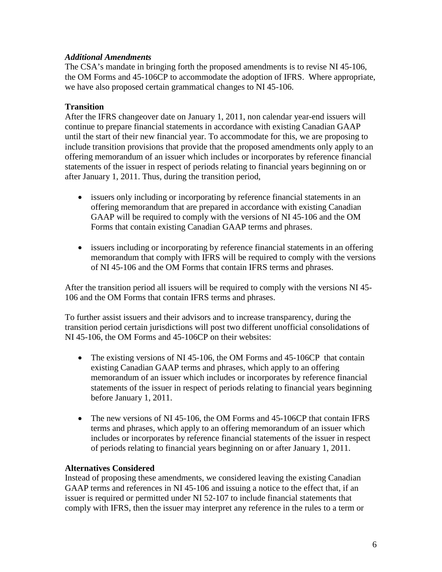#### *Additional Amendments*

The CSA's mandate in bringing forth the proposed amendments is to revise NI 45-106, the OM Forms and 45-106CP to accommodate the adoption of IFRS. Where appropriate, we have also proposed certain grammatical changes to NI 45-106.

## **Transition**

After the IFRS changeover date on January 1, 2011, non calendar year-end issuers will continue to prepare financial statements in accordance with existing Canadian GAAP until the start of their new financial year. To accommodate for this, we are proposing to include transition provisions that provide that the proposed amendments only apply to an offering memorandum of an issuer which includes or incorporates by reference financial statements of the issuer in respect of periods relating to financial years beginning on or after January 1, 2011. Thus, during the transition period,

- issuers only including or incorporating by reference financial statements in an offering memorandum that are prepared in accordance with existing Canadian GAAP will be required to comply with the versions of NI 45-106 and the OM Forms that contain existing Canadian GAAP terms and phrases.
- issuers including or incorporating by reference financial statements in an offering memorandum that comply with IFRS will be required to comply with the versions of NI 45-106 and the OM Forms that contain IFRS terms and phrases.

After the transition period all issuers will be required to comply with the versions NI 45- 106 and the OM Forms that contain IFRS terms and phrases.

To further assist issuers and their advisors and to increase transparency, during the transition period certain jurisdictions will post two different unofficial consolidations of NI 45-106, the OM Forms and 45-106CP on their websites:

- The existing versions of NI 45-106, the OM Forms and 45-106CP that contain existing Canadian GAAP terms and phrases, which apply to an offering memorandum of an issuer which includes or incorporates by reference financial statements of the issuer in respect of periods relating to financial years beginning before January 1, 2011.
- The new versions of NI 45-106, the OM Forms and 45-106CP that contain IFRS terms and phrases, which apply to an offering memorandum of an issuer which includes or incorporates by reference financial statements of the issuer in respect of periods relating to financial years beginning on or after January 1, 2011.

#### **Alternatives Considered**

Instead of proposing these amendments, we considered leaving the existing Canadian GAAP terms and references in NI 45-106 and issuing a notice to the effect that, if an issuer is required or permitted under NI 52-107 to include financial statements that comply with IFRS, then the issuer may interpret any reference in the rules to a term or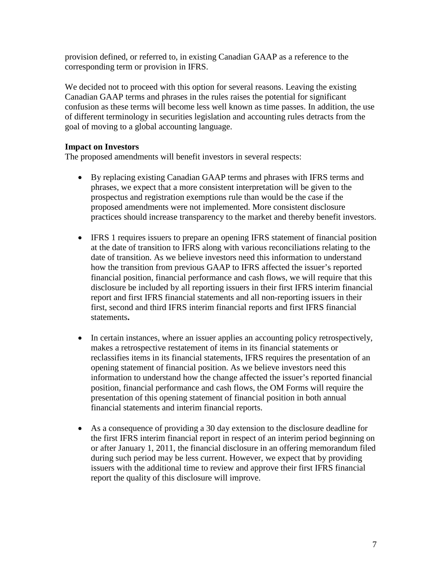provision defined, or referred to, in existing Canadian GAAP as a reference to the corresponding term or provision in IFRS.

We decided not to proceed with this option for several reasons. Leaving the existing Canadian GAAP terms and phrases in the rules raises the potential for significant confusion as these terms will become less well known as time passes. In addition, the use of different terminology in securities legislation and accounting rules detracts from the goal of moving to a global accounting language.

#### **Impact on Investors**

The proposed amendments will benefit investors in several respects:

- By replacing existing Canadian GAAP terms and phrases with IFRS terms and phrases, we expect that a more consistent interpretation will be given to the prospectus and registration exemptions rule than would be the case if the proposed amendments were not implemented. More consistent disclosure practices should increase transparency to the market and thereby benefit investors.
- IFRS 1 requires issuers to prepare an opening IFRS statement of financial position at the date of transition to IFRS along with various reconciliations relating to the date of transition. As we believe investors need this information to understand how the transition from previous GAAP to IFRS affected the issuer's reported financial position, financial performance and cash flows, we will require that this disclosure be included by all reporting issuers in their first IFRS interim financial report and first IFRS financial statements and all non-reporting issuers in their first, second and third IFRS interim financial reports and first IFRS financial statements**.**
- In certain instances, where an issuer applies an accounting policy retrospectively, makes a retrospective restatement of items in its financial statements or reclassifies items in its financial statements, IFRS requires the presentation of an opening statement of financial position. As we believe investors need this information to understand how the change affected the issuer's reported financial position, financial performance and cash flows, the OM Forms will require the presentation of this opening statement of financial position in both annual financial statements and interim financial reports.
- As a consequence of providing a 30 day extension to the disclosure deadline for the first IFRS interim financial report in respect of an interim period beginning on or after January 1, 2011, the financial disclosure in an offering memorandum filed during such period may be less current. However, we expect that by providing issuers with the additional time to review and approve their first IFRS financial report the quality of this disclosure will improve.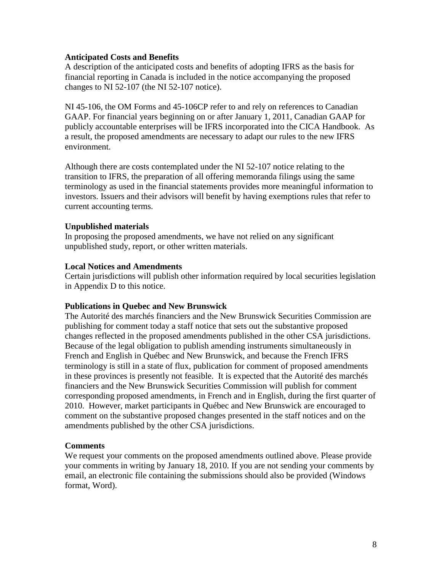#### **Anticipated Costs and Benefits**

A description of the anticipated costs and benefits of adopting IFRS as the basis for financial reporting in Canada is included in the notice accompanying the proposed changes to NI 52-107 (the NI 52-107 notice).

NI 45-106, the OM Forms and 45-106CP refer to and rely on references to Canadian GAAP. For financial years beginning on or after January 1, 2011, Canadian GAAP for publicly accountable enterprises will be IFRS incorporated into the CICA Handbook. As a result, the proposed amendments are necessary to adapt our rules to the new IFRS environment.

Although there are costs contemplated under the NI 52-107 notice relating to the transition to IFRS, the preparation of all offering memoranda filings using the same terminology as used in the financial statements provides more meaningful information to investors. Issuers and their advisors will benefit by having exemptions rules that refer to current accounting terms.

#### **Unpublished materials**

In proposing the proposed amendments, we have not relied on any significant unpublished study, report, or other written materials.

#### **Local Notices and Amendments**

Certain jurisdictions will publish other information required by local securities legislation in Appendix D to this notice.

#### **Publications in Quebec and New Brunswick**

The Autorité des marchés financiers and the New Brunswick Securities Commission are publishing for comment today a staff notice that sets out the substantive proposed changes reflected in the proposed amendments published in the other CSA jurisdictions. Because of the legal obligation to publish amending instruments simultaneously in French and English in Québec and New Brunswick, and because the French IFRS terminology is still in a state of flux, publication for comment of proposed amendments in these provinces is presently not feasible. It is expected that the Autorité des marchés financiers and the New Brunswick Securities Commission will publish for comment corresponding proposed amendments, in French and in English, during the first quarter of 2010. However, market participants in Québec and New Brunswick are encouraged to comment on the substantive proposed changes presented in the staff notices and on the amendments published by the other CSA jurisdictions.

#### **Comments**

We request your comments on the proposed amendments outlined above. Please provide your comments in writing by January 18, 2010. If you are not sending your comments by email, an electronic file containing the submissions should also be provided (Windows format, Word).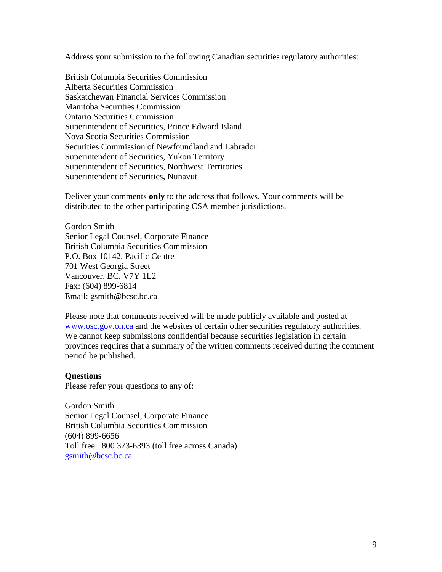Address your submission to the following Canadian securities regulatory authorities:

British Columbia Securities Commission Alberta Securities Commission Saskatchewan Financial Services Commission Manitoba Securities Commission Ontario Securities Commission Superintendent of Securities, Prince Edward Island Nova Scotia Securities Commission Securities Commission of Newfoundland and Labrador Superintendent of Securities, Yukon Territory Superintendent of Securities, Northwest Territories Superintendent of Securities, Nunavut

Deliver your comments **only** to the address that follows. Your comments will be distributed to the other participating CSA member jurisdictions.

Gordon Smith Senior Legal Counsel, Corporate Finance British Columbia Securities Commission P.O. Box 10142, Pacific Centre 701 West Georgia Street Vancouver, BC, V7Y 1L2 Fax: (604) 899-6814 Email: gsmith@bcsc.bc.ca

Please note that comments received will be made publicly available and posted at [www.osc.gov.on.ca](http://www.osc.gov.on.ca/) and the websites of certain other securities regulatory authorities. We cannot keep submissions confidential because securities legislation in certain provinces requires that a summary of the written comments received during the comment period be published.

#### **Questions**

Please refer your questions to any of:

Gordon Smith Senior Legal Counsel, Corporate Finance British Columbia Securities Commission (604) 899-6656 Toll free: 800 373-6393 (toll free across Canada) [gsmith@bcsc.bc.ca](mailto:gsmith@bcsc.bc.ca)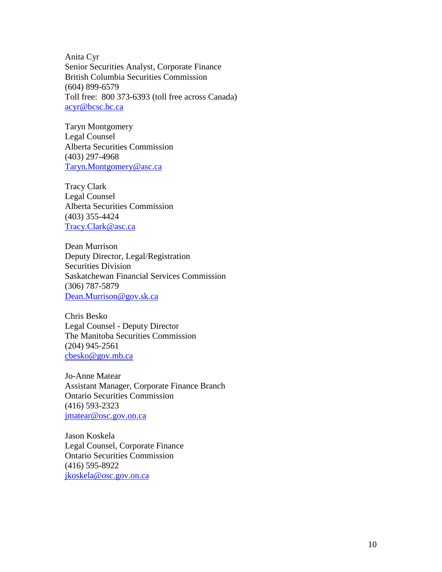Anita Cyr Senior Securities Analyst, Corporate Finance British Columbia Securities Commission (604) 899-6579 Toll free: 800 373-6393 (toll free across Canada) [acyr@bcsc.bc.ca](mailto:acyr@bcsc.bc.ca)

Taryn Montgomery Legal Counsel Alberta Securities Commission (403) 297-4968 [Taryn.Montgomery@asc.ca](mailto:Taryn.Montgomery@asc.ca)

Tracy Clark Legal Counsel Alberta Securities Commission (403) 355-4424 [Tracy.Clark@asc.ca](mailto:Tracy.Clark@asc.ca)

Dean Murrison Deputy Director, Legal/Registration Securities Division Saskatchewan Financial Services Commission (306) 787-5879 [Dean.Murrison@gov.sk.ca](mailto:Dean.Murrison@gov.sk.ca)

Chris Besko Legal Counsel - Deputy Director The Manitoba Securities Commission (204) 945-2561 [cbesko@gov.mb.ca](mailto:cbesko@gov.mb.ca)

Jo-Anne Matear Assistant Manager, Corporate Finance Branch Ontario Securities Commission (416) 593-2323 [jmatear@osc.gov.on.ca](mailto:jmatear@osc.gov.on.ca)

Jason Koskela Legal Counsel, Corporate Finance Ontario Securities Commission (416) 595-8922 [jkoskela@osc.gov.on.ca](mailto:jkoskela@osc.gov.on.ca)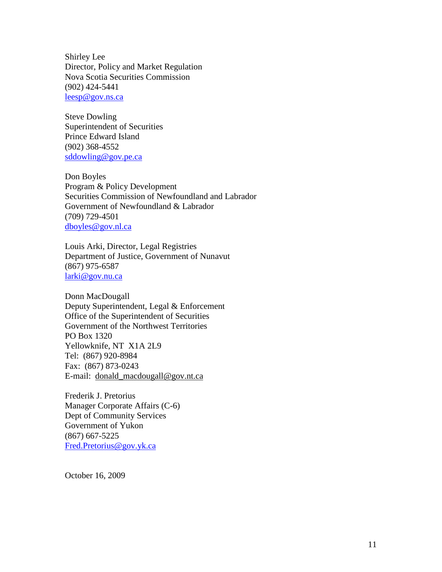Shirley Lee Director, Policy and Market Regulation Nova Scotia Securities Commission (902) 424-5441 [leesp@gov.ns.ca](mailto:leesp@gov.ns.ca)

Steve Dowling Superintendent of Securities Prince Edward Island (902) 368-4552 [sddowling@gov.pe.ca](mailto:sddowling@gov.pe.ca)

Don Boyles Program & Policy Development Securities Commission of Newfoundland and Labrador Government of Newfoundland & Labrador (709) 729-4501 [dboyles@gov.nl.ca](mailto:dboyles@gov.nl.ca)

Louis Arki, Director, Legal Registries Department of Justice, Government of Nunavut (867) 975-6587 [larki@gov.nu.ca](mailto:larki@gov.nu.ca)

Donn MacDougall Deputy Superintendent, Legal & Enforcement Office of the Superintendent of Securities Government of the Northwest Territories PO Box 1320 Yellowknife, NT X1A 2L9 Tel: (867) 920-8984 Fax: (867) 873-0243 E-mail: [donald\\_macdougall@gov.nt.ca](mailto:donald_macdougall@gov.nt.ca)

Frederik J. Pretorius Manager Corporate Affairs (C-6) Dept of Community Services Government of Yukon (867) 667-5225 [Fred.Pretorius@gov.yk.ca](mailto:Fred.Pretorius@gov.yk.ca)

October 16, 2009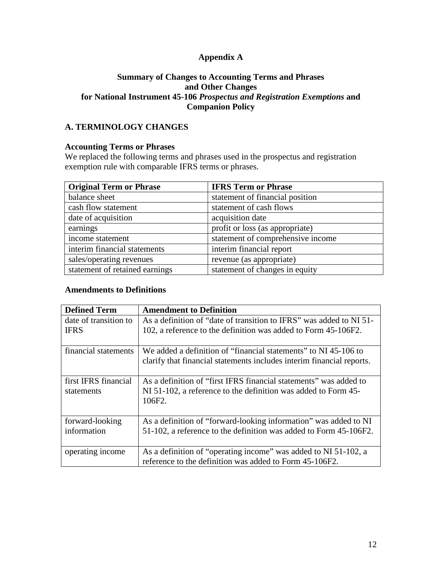## **Appendix A**

#### **Summary of Changes to Accounting Terms and Phrases and Other Changes for National Instrument 45-106** *Prospectus and Registration Exemptions* **and Companion Policy**

## **A. TERMINOLOGY CHANGES**

#### **Accounting Terms or Phrases**

We replaced the following terms and phrases used in the prospectus and registration exemption rule with comparable IFRS terms or phrases.

| <b>Original Term or Phrase</b> | <b>IFRS Term or Phrase</b>        |
|--------------------------------|-----------------------------------|
| balance sheet                  | statement of financial position   |
| cash flow statement            | statement of cash flows           |
| date of acquisition            | acquisition date                  |
| earnings                       | profit or loss (as appropriate)   |
| income statement               | statement of comprehensive income |
| interim financial statements   | interim financial report          |
| sales/operating revenues       | revenue (as appropriate)          |
| statement of retained earnings | statement of changes in equity    |

#### **Amendments to Definitions**

| <b>Defined Term</b>   | <b>Amendment to Definition</b>                                           |
|-----------------------|--------------------------------------------------------------------------|
| date of transition to | As a definition of "date of transition to IFRS" was added to NI 51-      |
| <b>IFRS</b>           | 102, a reference to the definition was added to Form 45-106F2.           |
| financial statements  | We added a definition of "financial statements" to NI 45-106 to          |
|                       | clarify that financial statements includes interim financial reports.    |
| first IFRS financial  | As a definition of "first IFRS financial statements" was added to        |
| statements            | NI 51-102, a reference to the definition was added to Form 45-<br>106F2. |
| forward-looking       | As a definition of "forward-looking information" was added to NI         |
| information           | 51-102, a reference to the definition was added to Form 45-106F2.        |
| operating income      | As a definition of "operating income" was added to NI 51-102, a          |
|                       | reference to the definition was added to Form 45-106F2.                  |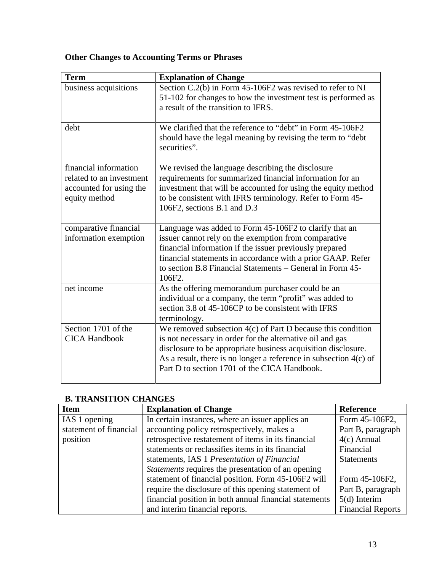# **Other Changes to Accounting Terms or Phrases**

| <b>Term</b>                                                                                   | <b>Explanation of Change</b>                                                                                                                                                                                                                                                                                     |
|-----------------------------------------------------------------------------------------------|------------------------------------------------------------------------------------------------------------------------------------------------------------------------------------------------------------------------------------------------------------------------------------------------------------------|
| business acquisitions                                                                         | Section C.2(b) in Form 45-106F2 was revised to refer to NI<br>51-102 for changes to how the investment test is performed as<br>a result of the transition to IFRS.                                                                                                                                               |
| debt                                                                                          | We clarified that the reference to "debt" in Form 45-106F2<br>should have the legal meaning by revising the term to "debt"<br>securities".                                                                                                                                                                       |
| financial information<br>related to an investment<br>accounted for using the<br>equity method | We revised the language describing the disclosure<br>requirements for summarized financial information for an<br>investment that will be accounted for using the equity method<br>to be consistent with IFRS terminology. Refer to Form 45-<br>106F2, sections B.1 and D.3                                       |
| comparative financial<br>information exemption                                                | Language was added to Form 45-106F2 to clarify that an<br>issuer cannot rely on the exemption from comparative<br>financial information if the issuer previously prepared<br>financial statements in accordance with a prior GAAP. Refer<br>to section B.8 Financial Statements - General in Form 45-<br>106F2.  |
| net income                                                                                    | As the offering memorandum purchaser could be an<br>individual or a company, the term "profit" was added to<br>section 3.8 of 45-106CP to be consistent with IFRS<br>terminology.                                                                                                                                |
| Section 1701 of the<br><b>CICA Handbook</b>                                                   | We removed subsection 4(c) of Part D because this condition<br>is not necessary in order for the alternative oil and gas<br>disclosure to be appropriate business acquisition disclosure.<br>As a result, there is no longer a reference in subsection $4(c)$ of<br>Part D to section 1701 of the CICA Handbook. |

## **B. TRANSITION CHANGES**

| <b>Item</b>            | <b>Explanation of Change</b>                              | <b>Reference</b>         |
|------------------------|-----------------------------------------------------------|--------------------------|
| IAS 1 opening          | In certain instances, where an issuer applies an          | Form 45-106F2,           |
| statement of financial | accounting policy retrospectively, makes a                | Part B, paragraph        |
| position               | retrospective restatement of items in its financial       | $4(c)$ Annual            |
|                        | statements or reclassifies items in its financial         | Financial                |
|                        | statements, IAS 1 Presentation of Financial               | <b>Statements</b>        |
|                        | <i>Statements</i> requires the presentation of an opening |                          |
|                        | statement of financial position. Form 45-106F2 will       | Form 45-106F2,           |
|                        | require the disclosure of this opening statement of       | Part B, paragraph        |
|                        | financial position in both annual financial statements    | $5(d)$ Interim           |
|                        | and interim financial reports.                            | <b>Financial Reports</b> |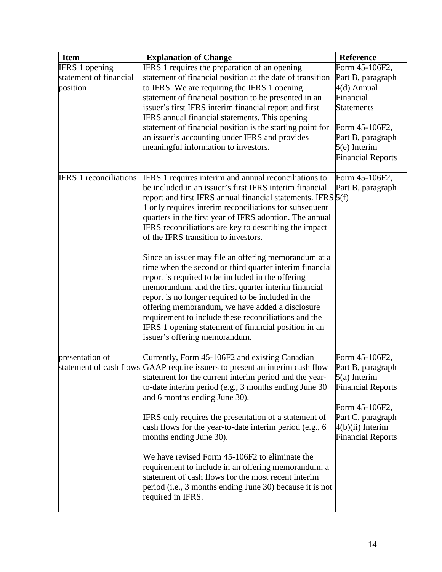| <b>Item</b>                   | <b>Explanation of Change</b>                                                 | <b>Reference</b>         |
|-------------------------------|------------------------------------------------------------------------------|--------------------------|
| <b>IFRS</b> 1 opening         | IFRS 1 requires the preparation of an opening                                | Form 45-106F2,           |
| statement of financial        | statement of financial position at the date of transition                    | Part B, paragraph        |
| position                      | to IFRS. We are requiring the IFRS 1 opening                                 | 4(d) Annual              |
|                               | statement of financial position to be presented in an                        | Financial                |
|                               | issuer's first IFRS interim financial report and first                       | <b>Statements</b>        |
|                               | IFRS annual financial statements. This opening                               |                          |
|                               | statement of financial position is the starting point for                    | Form 45-106F2,           |
|                               | an issuer's accounting under IFRS and provides                               | Part B, paragraph        |
|                               | meaningful information to investors.                                         | $5(e)$ Interim           |
|                               |                                                                              | <b>Financial Reports</b> |
| <b>IFRS</b> 1 reconciliations | IFRS 1 requires interim and annual reconciliations to                        | Form 45-106F2,           |
|                               | be included in an issuer's first IFRS interim financial                      | Part B, paragraph        |
|                               | report and first IFRS annual financial statements. IFRS $5(f)$               |                          |
|                               | 1 only requires interim reconciliations for subsequent                       |                          |
|                               | quarters in the first year of IFRS adoption. The annual                      |                          |
|                               | IFRS reconciliations are key to describing the impact                        |                          |
|                               | of the IFRS transition to investors.                                         |                          |
|                               | Since an issuer may file an offering memorandum at a                         |                          |
|                               | time when the second or third quarter interim financial                      |                          |
|                               | report is required to be included in the offering                            |                          |
|                               | memorandum, and the first quarter interim financial                          |                          |
|                               | report is no longer required to be included in the                           |                          |
|                               | offering memorandum, we have added a disclosure                              |                          |
|                               | requirement to include these reconciliations and the                         |                          |
|                               | IFRS 1 opening statement of financial position in an                         |                          |
|                               | issuer's offering memorandum.                                                |                          |
| presentation of               | Currently, Form 45-106F2 and existing Canadian                               | Form 45-106F2,           |
|                               | statement of cash flows GAAP require issuers to present an interim cash flow | Part B, paragraph        |
|                               | statement for the current interim period and the year-                       | $5(a)$ Interim           |
|                               | to-date interim period (e.g., 3 months ending June 30                        | <b>Financial Reports</b> |
|                               | and 6 months ending June 30).                                                |                          |
|                               |                                                                              | Form 45-106F2,           |
|                               | IFRS only requires the presentation of a statement of                        | Part C, paragraph        |
|                               | cash flows for the year-to-date interim period (e.g., 6)                     | $4(b)(ii)$ Interim       |
|                               | months ending June 30).                                                      | <b>Financial Reports</b> |
|                               | We have revised Form 45-106F2 to eliminate the                               |                          |
|                               | requirement to include in an offering memorandum, a                          |                          |
|                               | statement of cash flows for the most recent interim                          |                          |
|                               | period (i.e., 3 months ending June 30) because it is not                     |                          |
|                               | required in IFRS.                                                            |                          |
|                               |                                                                              |                          |